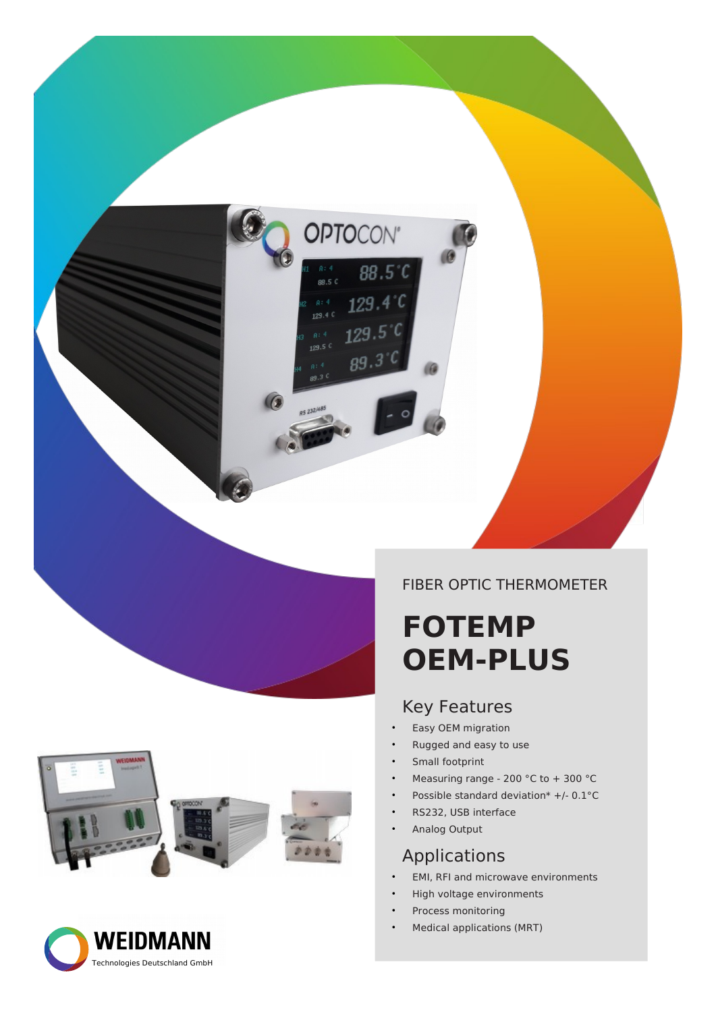





#### FIBER OPTIC THERMOMETER

## **FOTEMP OEM-PLUS**

#### Key Features

- Easy OEM migration
- Rugged and easy to use
- Small footprint

**OPTOCON'** 

 $88.5^{\circ}$ 

 $129.4^{\circ}$ 

 $129.5^{\circ}$ 

 $89.3$ 

 $0:4$ 

129.4 C

 $129.5$ 

88.5 C

- Measuring range 200 °C to + 300 °C
- Possible standard deviation\*  $+/- 0.1$ °C
- RS232, USB interface
- Analog Output

#### Applications

- EMI, RFI and microwave environments
- High voltage environments
- Process monitoring
- Medical applications (MRT)